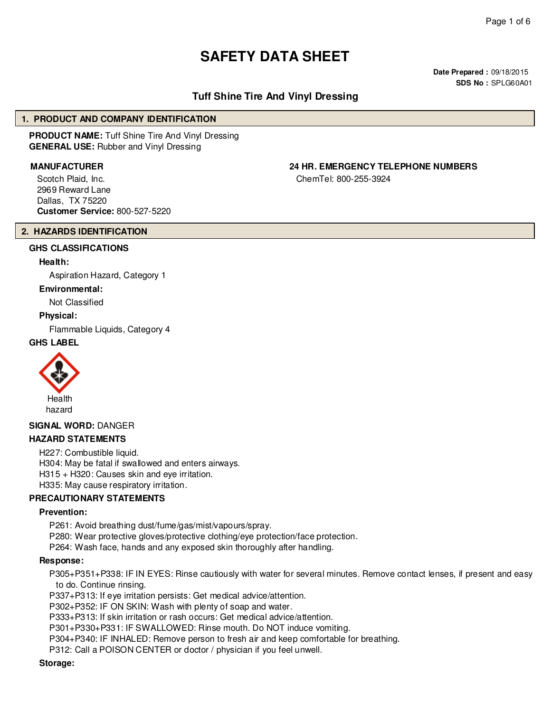# **SAFETY DATA SHEET**

**Date Prepared :** 09/18/2015 **SDS No :** SPLG60A01

### **Tuff Shine Tire And Vinyl Dressing**

#### **1. PRODUCT AND COMPANY IDENTIFICATION**

**PRODUCT NAME:** Tuff Shine Tire And Vinyl Dressing **GENERAL USE:** Rubber and Vinyl Dressing

Scotch Plaid, Inc. 2969 Reward Lane Dallas, TX 75220 **Customer Service:** 800-527-5220

## **MANUFACTURER 24 HR. EMERGENCY TELEPHONE NUMBERS**

ChemTel: 800-255-3924

#### **2. HAZARDS IDENTIFICATION**

#### **GHS CLASSIFICATIONS**

#### **Health:**

Aspiration Hazard, Category 1

#### **Environmental:**

Not Classified

#### **Physical:**

Flammable Liquids, Category 4

#### **GHS LABEL**



#### **SIGNAL WORD:** DANGER

#### **HAZARD STATEMENTS**

H227: Combustible liquid. H304: May be fatal if swallowed and enters airways. H315 + H320: Causes skin and eye irritation. H335: May cause respiratory irritation.

#### **PRECAUTIONARY STATEMENTS**

#### **Prevention:**

P261: Avoid breathing dust/fume/gas/mist/vapours/spray.

P280: Wear protective gloves/protective clothing/eye protection/face protection.

P264: Wash face, hands and any exposed skin thoroughly after handling.

#### **Response:**

P305+P351+P338: IF IN EYES: Rinse cautiously with water for several minutes. Remove contact lenses, if present and easy to do. Continue rinsing.

P337+P313: If eye irritation persists: Get medical advice/attention.

P302+P352: IF ON SKIN: Wash with plenty of soap and water.

P333+P313: If skin irritation or rash occurs: Get medical advice/attention.

P301+P330+P331: IF SWALLOWED: Rinse mouth. Do NOT induce vomiting.

P304+P340: IF INHALED: Remove person to fresh air and keep comfortable for breathing.

P312: Call a POISON CENTER or doctor / physician if you feel unwell.

#### **Storage:**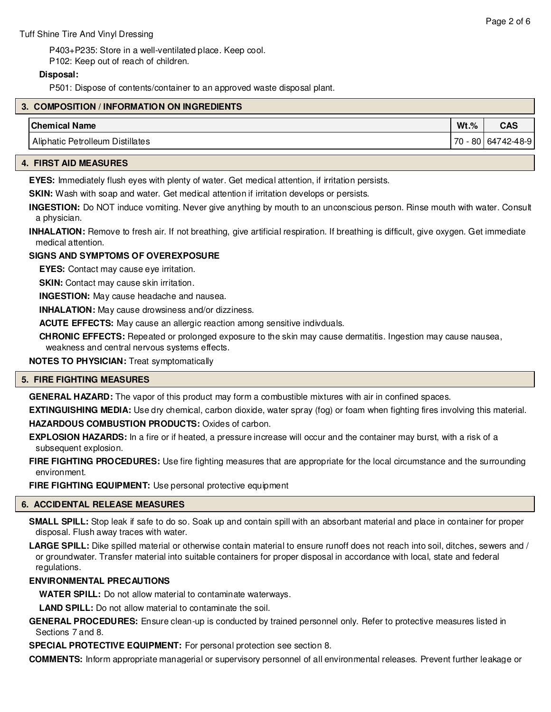P403+P235: Store in a well-ventilated place. Keep cool. P102: Keep out of reach of children.

#### **Disposal:**

P501: Dispose of contents/container to an approved waste disposal plant.

| 3. COMPOSITION / INFORMATION ON INGREDIENTS |         |                      |  |  |  |  |
|---------------------------------------------|---------|----------------------|--|--|--|--|
| <b>Chemical Name</b>                        | $Wt.\%$ | <b>CAS</b>           |  |  |  |  |
| Aliphatic Petrolleum Distillates            |         | 70 - 80   64742-48-9 |  |  |  |  |

#### **4. FIRST AID MEASURES**

**EYES:** Immediately flush eyes with plenty of water. Get medical attention, if irritation persists.

**SKIN:** Wash with soap and water. Get medical attention if irritation develops or persists.

**INGESTION:** Do NOT induce vomiting. Never give anything by mouth to an unconscious person. Rinse mouth with water. Consult a physician.

**INHALATION:** Remove to fresh air. If not breathing, give artificial respiration. If breathing is difficult, give oxygen. Get immediate medical attention.

#### **SIGNS AND SYMPTOMS OF OVEREXPOSURE**

**EYES:** Contact may cause eye irritation.

**SKIN:** Contact may cause skin irritation.

**INGESTION:** May cause headache and nausea.

**INHALATION:** May cause drowsiness and/or dizziness.

**ACUTE EFFECTS:** May cause an allergic reaction among sensitive indivduals.

**CHRONIC EFFECTS:** Repeated or prolonged exposure to the skin may cause dermatitis. Ingestion may cause nausea, weakness and central nervous systems effects.

**NOTES TO PHYSICIAN:** Treat symptomatically

#### **5. FIRE FIGHTING MEASURES**

**GENERAL HAZARD:** The vapor of this product may form a combustible mixtures with air in confined spaces.

**EXTINGUISHING MEDIA:** Use dry chemical, carbon dioxide, water spray (fog) or foam when fighting fires involving this material. **HAZARDOUS COMBUSTION PRODUCTS:** Oxides of carbon.

**EXPLOSION HAZARDS:** In a fire or if heated, a pressure increase will occur and the container may burst, with a risk of a subsequent explosion.

**FIRE FIGHTING PROCEDURES:** Use fire fighting measures that are appropriate for the local circumstance and the surrounding environment.

**FIRE FIGHTING EQUIPMENT:** Use personal protective equipment

#### **6. ACCIDENTAL RELEASE MEASURES**

**SMALL SPILL:** Stop leak if safe to do so. Soak up and contain spill with an absorbant material and place in container for proper disposal. Flush away traces with water.

**LARGE SPILL:** Dike spilled material or otherwise contain material to ensure runoff does not reach into soil, ditches, sewers and / or groundwater. Transfer material into suitable containers for proper disposal in accordance with local, state and federal regulations.

#### **ENVIRONMENTAL PRECAUTIONS**

**WATER SPILL:** Do not allow material to contaminate waterways.

**LAND SPILL:** Do not allow material to contaminate the soil.

**GENERAL PROCEDURES:** Ensure clean-up is conducted by trained personnel only. Refer to protective measures listed in Sections 7 and 8.

**SPECIAL PROTECTIVE EQUIPMENT:** For personal protection see section 8.

**COMMENTS:** Inform appropriate managerial or supervisory personnel of all environmental releases. Prevent further leakage or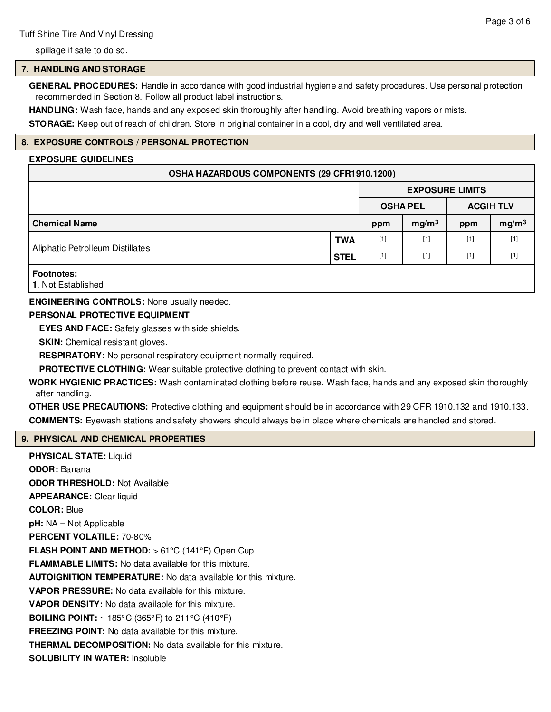spillage if safe to do so.

#### **7. HANDLING AND STORAGE**

**GENERAL PROCEDURES:** Handle in accordance with good industrial hygiene and safety procedures. Use personal protection recommended in Section 8. Follow all product label instructions.

**HANDLING:** Wash face, hands and any exposed skin thoroughly after handling. Avoid breathing vapors or mists.

**STORAGE:** Keep out of reach of children. Store in original container in a cool, dry and well ventilated area.

#### **8. EXPOSURE CONTROLS / PERSONAL PROTECTION**

#### **EXPOSURE GUIDELINES**

#### **OSHA HAZARDOUS COMPONENTS (29 CFR1910.1200)**

|                                  |             | <b>EXPOSURE LIMITS</b> |                   |                  |                   |
|----------------------------------|-------------|------------------------|-------------------|------------------|-------------------|
|                                  |             | <b>OSHA PEL</b>        |                   | <b>ACGIH TLV</b> |                   |
| <b>Chemical Name</b>             |             | ppm                    | mg/m <sup>3</sup> | ppm              | mg/m <sup>3</sup> |
|                                  | <b>TWA</b>  | $[1]$                  | $[1]$             | $[1]$            | $[1]$             |
| Aliphatic Petrolleum Distillates | <b>STEL</b> | $[1]$                  | $[1]$             | $[1]$            | $[1]$             |
| <b>Footnotes:</b>                |             |                        |                   |                  |                   |

**1**. Not Established

**ENGINEERING CONTROLS:** None usually needed.

#### **PERSONAL PROTECTIVE EQUIPMENT**

**EYES AND FACE:** Safety glasses with side shields.

**SKIN:** Chemical resistant gloves.

**RESPIRATORY:** No personal respiratory equipment normally required.

**PROTECTIVE CLOTHING:** Wear suitable protective clothing to prevent contact with skin.

**WORK HYGIENIC PRACTICES:** Wash contaminated clothing before reuse. Wash face, hands and any exposed skin thoroughly after handling.

**OTHER USE PRECAUTIONS:** Protective clothing and equipment should be in accordance with 29 CFR 1910.132 and 1910.133. **COMMENTS:** Eyewash stations and safety showers should always be in place where chemicals are handled and stored.

#### **9. PHYSICAL AND CHEMICAL PROPERTIES**

**PHYSICAL STATE:** Liquid **ODOR:** Banana **ODOR THRESHOLD:** Not Available **APPEARANCE:** Clear liquid **COLOR:** Blue **pH:** NA = Not Applicable **PERCENT VOLATILE:** 70-80% **FLASH POINT AND METHOD:** > 61°C (141°F) Open Cup **FLAMMABLE LIMITS:** No data available for this mixture. **AUTOIGNITION TEMPERATURE:** No data available for this mixture. **VAPOR PRESSURE:** No data available for this mixture. **VAPOR DENSITY:** No data available for this mixture. **BOILING POINT:** ~ 185°C (365°F) to 211°C (410°F) **FREEZING POINT:** No data available for this mixture. **THERMAL DECOMPOSITION:** No data available for this mixture. **SOLUBILITY IN WATER:** Insoluble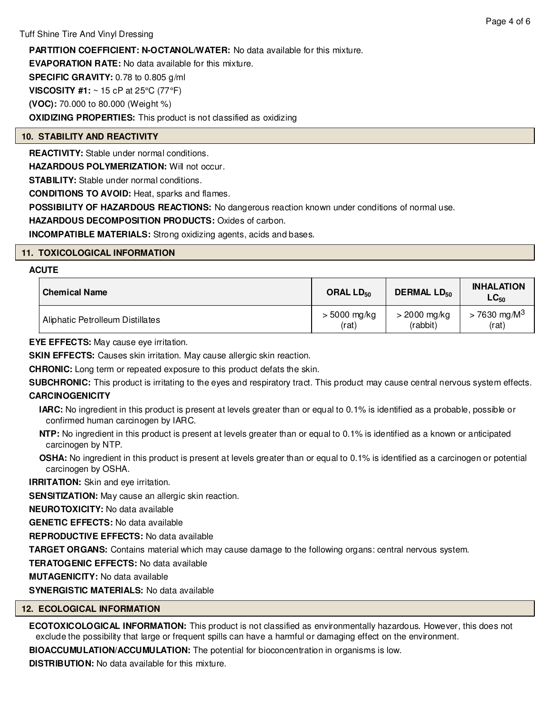**PARTITION COEFFICIENT: N-OCTANOL/WATER:** No data available for this mixture.

**EVAPORATION RATE:** No data available for this mixture.

**SPECIFIC GRAVITY:** 0.78 to 0.805 g/ml

**VISCOSITY #1:** ~ 15 cP at 25°C (77°F)

**(VOC):** 70.000 to 80.000 (Weight %)

**OXIDIZING PROPERTIES:** This product is not classified as oxidizing

#### **10. STABILITY AND REACTIVITY**

**REACTIVITY:** Stable under normal conditions.

**HAZARDOUS POLYMERIZATION:** Will not occur.

**STABILITY:** Stable under normal conditions.

**CONDITIONS TO AVOID:** Heat, sparks and flames.

**POSSIBILITY OF HAZARDOUS REACTIONS:** No dangerous reaction known under conditions of normal use.

**HAZARDOUS DECOMPOSITION PRODUCTS:** Oxides of carbon.

**INCOMPATIBLE MATERIALS:** Strong oxidizing agents, acids and bases.

#### **11. TOXICOLOGICAL INFORMATION**

#### **ACUTE**

| <b>Chemical Name</b>             | ORAL LD <sub>50</sub> | <b>DERMAL LD<sub>50</sub></b> | <b>INHALATION</b><br>$LG_{50}$ |
|----------------------------------|-----------------------|-------------------------------|--------------------------------|
| Aliphatic Petrolleum Distillates | $> 5000$ mg/kg        | $>$ 2000 mg/kg                | $> 7630 \text{ mg/M}^3$        |
|                                  | (rat)                 | (rabbit)                      | (rat)                          |

**EYE EFFECTS:** May cause eye irritation.

**SKIN EFFECTS:** Causes skin irritation. May cause allergic skin reaction.

**CHRONIC:** Long term or repeated exposure to this product defats the skin.

**SUBCHRONIC:** This product is irritating to the eyes and respiratory tract. This product may cause central nervous system effects. **CARCINOGENICITY**

**IARC:** No ingredient in this product is present at levels greater than or equal to 0.1% is identified as a probable, possible or confirmed human carcinogen by IARC.

- **NTP:** No ingredient in this product is present at levels greater than or equal to 0.1% is identified as a known or anticipated carcinogen by NTP.
- **OSHA:** No ingredient in this product is present at levels greater than or equal to 0.1% is identified as a carcinogen or potential carcinogen by OSHA.

**IRRITATION:** Skin and eye irritation.

**SENSITIZATION:** May cause an allergic skin reaction.

**NEUROTOXICITY:** No data available

**GENETIC EFFECTS:** No data available

**REPRODUCTIVE EFFECTS:** No data available

**TARGET ORGANS:** Contains material which may cause damage to the following organs: central nervous system.

**TERATOGENIC EFFECTS:** No data available

**MUTAGENICITY:** No data available

**SYNERGISTIC MATERIALS:** No data available

#### **12. ECOLOGICAL INFORMATION**

**ECOTOXICOLOGICAL INFORMATION:** This product is not classified as environmentally hazardous. However, this does not exclude the possibility that large or frequent spills can have a harmful or damaging effect on the environment.

**BIOACCUMULATION/ACCUMULATION:** The potential for bioconcentration in organisms is low.

**DISTRIBUTION:** No data available for this mixture.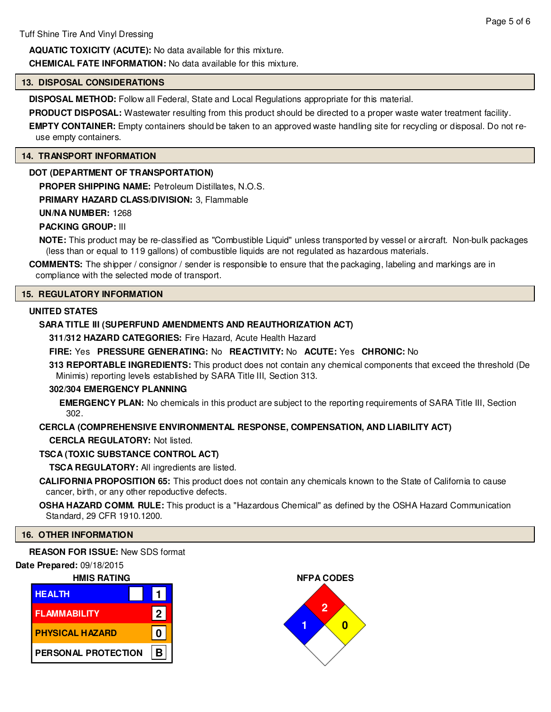**AQUATIC TOXICITY (ACUTE):** No data available for this mixture.

**CHEMICAL FATE INFORMATION:** No data available for this mixture.

#### **13. DISPOSAL CONSIDERATIONS**

**DISPOSAL METHOD:** Follow all Federal, State and Local Regulations appropriate for this material.

**PRODUCT DISPOSAL:** Wastewater resulting from this product should be directed to a proper waste water treatment facility.

**EMPTY CONTAINER:** Empty containers should be taken to an approved waste handling site for recycling or disposal. Do not reuse empty containers.

#### **14. TRANSPORT INFORMATION**

#### **DOT (DEPARTMENT OF TRANSPORTATION)**

**PROPER SHIPPING NAME:** Petroleum Distillates, N.O.S.

#### **PRIMARY HAZARD CLASS/DIVISION:** 3, Flammable

#### **UN/NA NUMBER:** 1268

#### **PACKING GROUP:** III

**NOTE:** This product may be re-classified as "Combustible Liquid" unless transported by vessel or aircraft. Non-bulk packages (less than or equal to 119 gallons) of combustible liquids are not regulated as hazardous materials.

**COMMENTS:** The shipper / consignor / sender is responsible to ensure that the packaging, labeling and markings are in compliance with the selected mode of transport.

#### **15. REGULATORY INFORMATION**

#### **UNITED STATES**

#### **SARA TITLE III (SUPERFUND AMENDMENTS AND REAUTHORIZATION ACT)**

**311/312 HAZARD CATEGORIES:** Fire Hazard, Acute Health Hazard

#### **FIRE:** Yes **PRESSURE GENERATING:** No **REACTIVITY:** No **ACUTE:** Yes **CHRONIC:** No

**313 REPORTABLE INGREDIENTS:** This product does not contain any chemical components that exceed the threshold (De Minimis) reporting levels established by SARA Title III, Section 313.

#### **302/304 EMERGENCY PLANNING**

**EMERGENCY PLAN:** No chemicals in this product are subject to the reporting requirements of SARA Title III, Section 302.

#### **CERCLA (COMPREHENSIVE ENVIRONMENTAL RESPONSE, COMPENSATION, AND LIABILITY ACT)**

**CERCLA REGULATORY:** Not listed.

#### **TSCA (TOXIC SUBSTANCE CONTROL ACT)**

**TSCA REGULATORY:** All ingredients are listed.

**CALIFORNIA PROPOSITION 65:** This product does not contain any chemicals known to the State of California to cause cancer, birth, or any other repoductive defects.

**OSHA HAZARD COMM. RULE:** This product is a "Hazardous Chemical" as defined by the OSHA Hazard Communication Standard, 29 CFR 1910.1200.

#### **16. OTHER INFORMATION**

#### **REASON FOR ISSUE:** New SDS format

#### **Date Prepared:** 09/18/2015